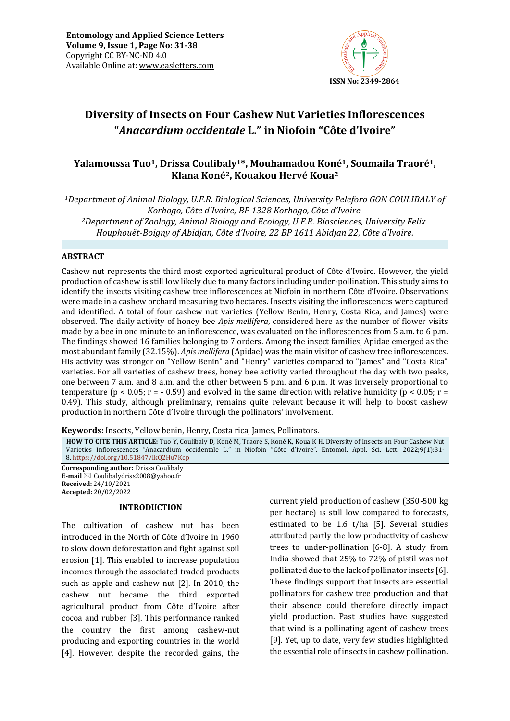

# **Diversity of Insects on Four Cashew Nut Varieties Inflorescences "***Anacardium occidentale* **L." in Niofoin "Côte d'Ivoire"**

## **Yalamoussa Tuo1, Drissa Coulibaly1\*, Mouhamadou Koné1, Soumaila Traoré1, Klana Koné2, Kouakou Hervé Koua<sup>2</sup>**

*<sup>1</sup>Department of Animal Biology, U.F.R. Biological Sciences, University Peleforo GON COULIBALY of Korhogo, Côte d'Ivoire, BP 1328 Korhogo, Côte d'Ivoire. <sup>2</sup>Department of Zoology, Animal Biology and Ecology, U.F.R. Biosciences, University Felix Houphouët-Boigny of Abidjan, Côte d'Ivoire, 22 BP 1611 Abidjan 22, Côte d'Ivoire.*

## **ABSTRACT**

Cashew nut represents the third most exported agricultural product of Côte d'Ivoire. However, the yield production of cashew is still low likely due to many factors including under-pollination. This study aims to identify the insects visiting cashew tree inflorescences at Niofoin in northern Côte d'Ivoire. Observations were made in a cashew orchard measuring two hectares. Insects visiting the inflorescences were captured and identified. A total of four cashew nut varieties (Yellow Benin, Henry, Costa Rica, and James) were observed. The daily activity of honey bee *Apis mellifera*, considered here as the number of flower visits made by a bee in one minute to an inflorescence, was evaluated on the inflorescences from 5 a.m. to 6 p.m. The findings showed 16 families belonging to 7 orders. Among the insect families, Apidae emerged as the most abundant family (32.15%). *Apis mellifera* (Apidae) was the main visitor of cashew tree inflorescences. His activity was stronger on "Yellow Benin" and "Henry" varieties compared to "James" and "Costa Rica" varieties. For all varieties of cashew trees, honey bee activity varied throughout the day with two peaks, one between 7 a.m. and 8 a.m. and the other between 5 p.m. and 6 p.m. It was inversely proportional to temperature ( $p < 0.05$ ;  $r = -0.59$ ) and evolved in the same direction with relative humidity ( $p < 0.05$ ;  $r =$ 0.49). This study, although preliminary, remains quite relevant because it will help to boost cashew production in northern Côte d'Ivoire through the pollinators' involvement.

**Keywords:** Insects, Yellow benin, Henry, Costa rica, James, Pollinators*.*

**HOW TO CITE THIS ARTICLE:** Tuo Y, Coulibaly D, Koné M, Traoré S, Koné K, Koua K H. Diversity of Insects on Four Cashew Nut Varieties Inflorescences "Anacardium occidentale L." in Niofoin "Côte d'Ivoire". Entomol. Appl. Sci. Lett. 2022;9(1):31- 8. <https://doi.org/10.51847/IkQ2Hu7Kcp>

**Corresponding author:** Drissa Coulibaly **E-mail** ⊠ Coulibalydriss2008@yahoo.fr **Received:** 24/10/2021 **Accepted:** 20/02/2022

### **INTRODUCTION**

The cultivation of cashew nut has been introduced in the North of Côte d'Ivoire in 1960 to slow down deforestation and fight against soil erosion [1]. This enabled to increase population incomes through the associated traded products such as apple and cashew nut [2]. In 2010, the cashew nut became the third exported agricultural product from Côte d'Ivoire after cocoa and rubber [3]. This performance ranked the country the first among cashew-nut producing and exporting countries in the world [4]. However, despite the recorded gains, the

current yield production of cashew (350-500 kg per hectare) is still low compared to forecasts, estimated to be 1.6 t/ha [5]. Several studies attributed partly the low productivity of cashew trees to under-pollination [6-8]. A study from India showed that 25% to 72% of pistil was not pollinated due to the lack of pollinator insects [6]. These findings support that insects are essential pollinators for cashew tree production and that their absence could therefore directly impact yield production. Past studies have suggested that wind is a pollinating agent of cashew trees [9]. Yet, up to date, very few studies highlighted the essential role of insects in cashew pollination.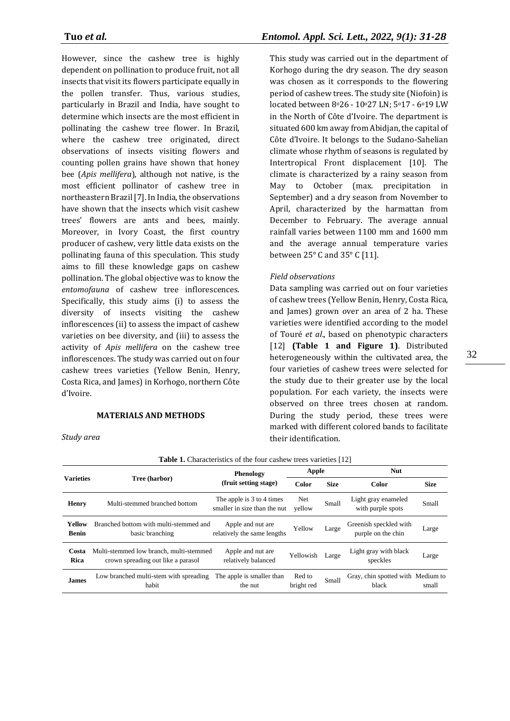However, since the cashew tree is highly dependent on pollination to produce fruit, not all insects that visit its flowers participate equally in the pollen transfer. Thus, various studies, particularly in Brazil and India, have sought to determine which insects are the most efficient in pollinating the cashew tree flower. In Brazil, where the cashew tree originated, direct observations of insects visiting flowers and counting pollen grains have shown that honey bee (*Apis mellifera*), although not native, is the most efficient pollinator of cashew tree in northeastern Brazil [7]. In India, the observations have shown that the insects which visit cashew trees' flowers are ants and bees, mainly. Moreover, in Ivory Coast, the first country producer of cashew, very little data exists on the pollinating fauna of this speculation. This study aims to fill these knowledge gaps on cashew pollination. The global objective was to know the *entomofauna* of cashew tree inflorescences. Specifically, this study aims (i) to assess the diversity of insects visiting the cashew inflorescences (ii) to assess the impact of cashew varieties on bee diversity, and (iii) to assess the activity of *Apis mellifera* on the cashew tree inflorescences. The study was carried out on four cashew trees varieties (Yellow Benin, Henry, Costa Rica, and James) in Korhogo, northern Côte d'Ivoire.

### **MATERIALS AND METHODS**

This study was carried out in the department of Korhogo during the dry season. The dry season was chosen as it corresponds to the flowering period of cashew trees. The study site (Niofoin) is located between 8°26 - 10°27 LN; 5°17 - 6°19 LW in the North of Côte d'Ivoire. The department is situated 600 km away from Abidjan, the capital of Côte d'Ivoire. It belongs to the Sudano-Sahelian climate whose rhythm of seasons is regulated by Intertropical Front displacement [10]. The climate is characterized by a rainy season from May to October (max. precipitation in September) and a dry season from November to April, characterized by the harmattan from December to February. The average annual rainfall varies between 1100 mm and 1600 mm and the average annual temperature varies between 25° C and 35° C [11].

## *Field observations*

Data sampling was carried out on four varieties of cashew trees (Yellow Benin, Henry, Costa Rica, and James) grown over an area of 2 ha. These varieties were identified according to the model of Touré *et al*., based on phenotypic characters [12] **(Table 1 and Figure 1)**. Distributed heterogeneously within the cultivated area, the four varieties of cashew trees were selected for the study due to their greater use by the local population. For each variety, the insects were observed on three trees chosen at random. During the study period, these trees were marked with different colored bands to facilitate their identification.

| <b>Table 1.</b> Characteristics of the four cashew trees varieties [12] |                                                                               |                                                           |                      |             |                                              |             |  |  |  |  |
|-------------------------------------------------------------------------|-------------------------------------------------------------------------------|-----------------------------------------------------------|----------------------|-------------|----------------------------------------------|-------------|--|--|--|--|
| <b>Varieties</b>                                                        | Tree (harbor)                                                                 | Phenology                                                 | Apple                |             | <b>Nut</b>                                   |             |  |  |  |  |
|                                                                         |                                                                               | (fruit setting stage)                                     | Color                | <b>Size</b> | <b>Color</b>                                 | <b>Size</b> |  |  |  |  |
| Henry                                                                   | Multi-stemmed branched bottom                                                 | The apple is 3 to 4 times<br>smaller in size than the nut | Net<br>vellow        | Small       | Light gray enameled<br>with purple spots     | Small       |  |  |  |  |
| Yellow<br><b>Benin</b>                                                  | Branched bottom with multi-stemmed and<br>basic branching                     | Apple and nut are<br>relatively the same lengths          | Yellow               | Large       | Greenish speckled with<br>purple on the chin | Large       |  |  |  |  |
| Costa<br>Rica                                                           | Multi-stemmed low branch, multi-stemmed<br>crown spreading out like a parasol | Apple and nut are<br>relatively balanced                  | Yellowish            | Large       | Light gray with black<br>speckles            | Large       |  |  |  |  |
| <b>James</b>                                                            | Low branched multi-stem with spreading<br>habit                               | The apple is smaller than<br>the nut                      | Red to<br>bright red | Small       | Gray, chin spotted with Medium to<br>black   | small       |  |  |  |  |

*Study area*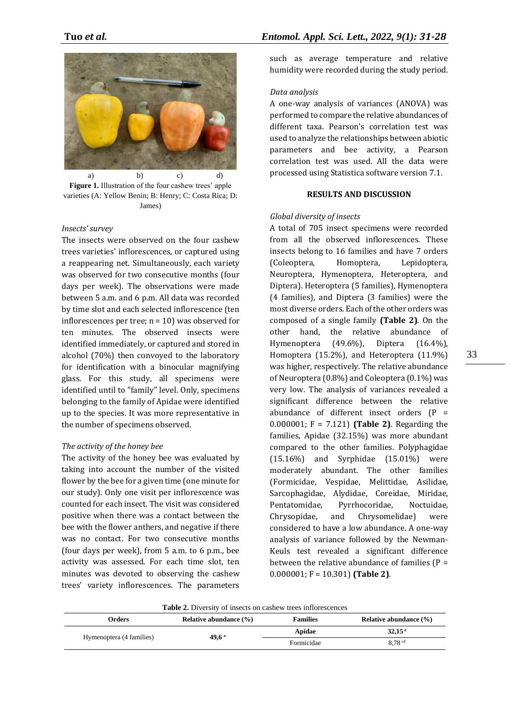

**Figure 1.** Illustration of the four cashew trees' apple varieties (A: Yellow Benin; B: Henry; C: Costa Rica; D: James)

#### *Insects' survey*

The insects were observed on the four cashew trees varieties' inflorescences, or captured using a reappearing net. Simultaneously, each variety was observed for two consecutive months (four days per week). The observations were made between 5 a.m. and 6 p.m. All data was recorded by time slot and each selected inflorescence (ten inflorescences per tree;  $n = 10$ ) was observed for ten minutes. The observed insects were identified immediately, or captured and stored in alcohol (70%) then convoyed to the laboratory for identification with a binocular magnifying glass. For this study, all specimens were identified until to "family" level. Only, specimens belonging to the family of Apidae were identified up to the species. It was more representative in the number of specimens observed.

#### *The activity of the honey bee*

The activity of the honey bee was evaluated by taking into account the number of the visited flower by the bee for a given time (one minute for our study). Only one visit per inflorescence was counted for each insect. The visit was considered positive when there was a contact between the bee with the flower anthers, and negative if there was no contact. For two consecutive months (four days per week), from 5 a.m. to 6 p.m., bee activity was assessed. For each time slot, ten minutes was devoted to observing the cashew trees' variety inflorescences. The parameters

such as average temperature and relative humidity were recorded during the study period.

#### *Data analysis*

A one-way analysis of variances (ANOVA) was performed to compare the relative abundances of different taxa. Pearson's correlation test was used to analyze the relationships between abiotic parameters and bee activity, a Pearson correlation test was used. All the data were processed using Statistica software version 7.1.

### **RESULTS AND DISCUSSION**

#### *Global diversity of insects*

A total of 705 insect specimens were recorded from all the observed inflorescences. These insects belong to 16 families and have 7 orders (Coleoptera, Homoptera, Lepidoptera, Neuroptera, Hymenoptera, Heteroptera, and Diptera). Heteroptera (5 families), Hymenoptera (4 families), and Diptera (3 families) were the most diverse orders. Each of the other orders was composed of a single family **(Table 2)**. On the other hand, the relative abundance of Hymenoptera (49.6%), Diptera (16.4%), Homoptera (15.2%), and Heteroptera (11.9%) was higher, respectively. The relative abundance of Neuroptera (0.8%) and Coleoptera (0.1%) was very low. The analysis of variances revealed a significant difference between the relative abundance of different insect orders  $(P =$ 0.000001; F = 7.121) **(Table 2)**. Regarding the families, Apidae (32.15%) was more abundant compared to the other families. Polyphagidae (15.16%) and Syrphidae (15.01%) were moderately abundant. The other families (Formicidae, Vespidae, Melittidae, Asilidae, Sarcophagidae, Alydidae, Coreidae, Miridae, Pentatomidae, Pyrrhocoridae, Noctuidae, Chrysopidae, and Chrysomelidae) were considered to have a low abundance. A one-way analysis of variance followed by the Newman-Keuls test revealed a significant difference between the relative abundance of families  $(P =$ 0.000001; F = 10.301) **(Table 2)**.

**Table 2.** Diversity of insects on cashew trees inflorescences

| Orders                   | Relative abundance $(\% )$ | <b>Families</b> | Relative abundance $(\% )$ |
|--------------------------|----------------------------|-----------------|----------------------------|
|                          |                            | Apidae          | 32.15 <sup>a</sup>         |
| Hymenoptera (4 families) | $49.6^{\text{ a}}$         | Formicidae      | 8.78 <sup>cd</sup>         |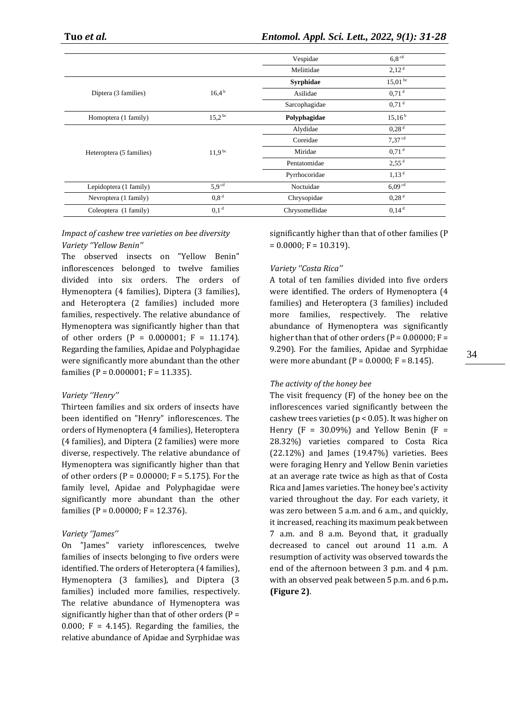|                          |                   | Vespidae         | 6.8 <sup>cd</sup>  |
|--------------------------|-------------------|------------------|--------------------|
|                          |                   | Melittidae       | 2,12 <sup>d</sup>  |
|                          |                   | <b>Syrphidae</b> | $15,01^{bc}$       |
| Diptera (3 families)     | 16.4 <sup>b</sup> | Asilidae         | 0.71 <sup>d</sup>  |
|                          |                   | Sarcophagidae    | 0.71 <sup>d</sup>  |
| Homoptera (1 family)     | $15.2^{bc}$       | Polyphagidae     | 15.16 <sup>b</sup> |
|                          |                   | Alydidae         | 0.28 <sup>d</sup>  |
|                          |                   | Coreidae         | 7.37 <sup>cd</sup> |
| Heteroptera (5 families) | $11.9^{bc}$       | Miridae          | 0.71 <sup>d</sup>  |
|                          |                   | Pentatomidae     | 2,55 <sup>d</sup>  |
|                          |                   | Pyrrhocoridae    | 1,13 <sup>d</sup>  |
| Lepidoptera (1 family)   | 5.9 <sup>cd</sup> | Noctuidae        | 6,09 <sup>cd</sup> |
| Nevroptera (1 family)    | 0.8 <sup>d</sup>  | Chrysopidae      | 0.28 <sup>d</sup>  |
| Coleoptera (1 family)    | 0.1 <sup>d</sup>  | Chrysomellidae   | 0.14 <sup>d</sup>  |

## *Impact of cashew tree varieties on bee diversity Variety ''Yellow Benin''*

The observed insects on "Yellow Benin" inflorescences belonged to twelve families divided into six orders. The orders of Hymenoptera (4 families), Diptera (3 families), and Heteroptera (2 families) included more families, respectively. The relative abundance of Hymenoptera was significantly higher than that of other orders (P =  $0.000001$ ; F = 11.174). Regarding the families, Apidae and Polyphagidae were significantly more abundant than the other families ( $P = 0.000001$ ;  $F = 11.335$ ).

## *Variety ''Henry''*

Thirteen families and six orders of insects have been identified on "Henry" inflorescences. The orders of Hymenoptera (4 families), Heteroptera (4 families), and Diptera (2 families) were more diverse, respectively. The relative abundance of Hymenoptera was significantly higher than that of other orders ( $P = 0.00000$ ;  $F = 5.175$ ). For the family level, Apidae and Polyphagidae were significantly more abundant than the other families (P =  $0.00000$ ; F = 12.376).

### *Variety ''James''*

On "James" variety inflorescences, twelve families of insects belonging to five orders were identified. The orders of Heteroptera (4 families), Hymenoptera (3 families), and Diptera (3 families) included more families, respectively. The relative abundance of Hymenoptera was significantly higher than that of other orders  $(P =$ 0.000;  $F = 4.145$ ). Regarding the families, the relative abundance of Apidae and Syrphidae was

significantly higher than that of other families (P  $= 0.0000$ ; F = 10.319).

## *Variety ''Costa Rica''*

A total of ten families divided into five orders were identified. The orders of Hymenoptera (4 families) and Heteroptera (3 families) included more families, respectively. The relative abundance of Hymenoptera was significantly higher than that of other orders ( $P = 0.00000$ ;  $F =$ 9.290). For the families, Apidae and Syrphidae were more abundant ( $P = 0.0000$ ;  $F = 8.145$ ).

### *The activity of the honey bee*

The visit frequency (F) of the honey bee on the inflorescences varied significantly between the cashew trees varieties (p < 0.05). It was higher on Henry  $(F = 30.09\%)$  and Yellow Benin  $(F =$ 28.32%) varieties compared to Costa Rica (22.12%) and James (19.47%) varieties. Bees were foraging Henry and Yellow Benin varieties at an average rate twice as high as that of Costa Rica and James varieties. The honey bee's activity varied throughout the day. For each variety, it was zero between 5 a.m. and 6 a.m., and quickly, it increased, reaching its maximum peak between 7 a.m. and 8 a.m. Beyond that, it gradually decreased to cancel out around 11 a.m. A resumption of activity was observed towards the end of the afternoon between 3 p.m. and 4 p.m. with an observed peak between 5 p.m. and 6 p.m**. (Figure 2)**.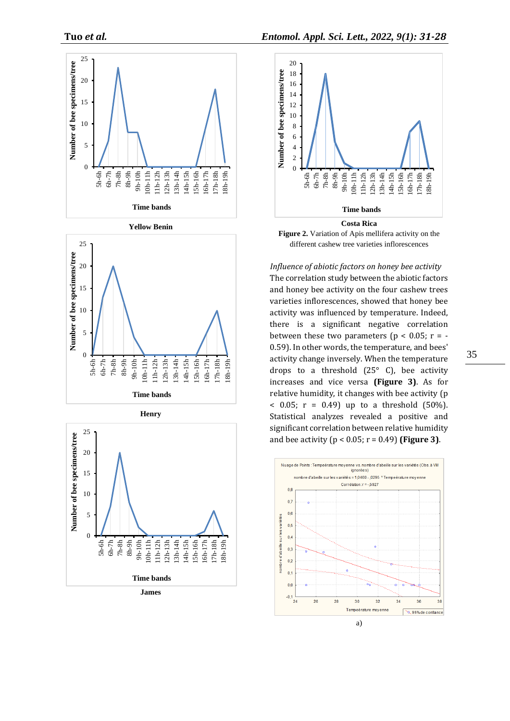









*Influence of abiotic factors on honey bee activity* The correlation study between the abiotic factors and honey bee activity on the four cashew trees varieties inflorescences, showed that honey bee activity was influenced by temperature. Indeed, there is a significant negative correlation between these two parameters ( $p < 0.05$ ;  $r = -$ 0.59). In other words, the temperature, and bees' activity change inversely. When the temperature drops to a threshold  $(25^{\circ} \text{ C})$ , bee activity increases and vice versa **(Figure 3)**. As for relative humidity, it changes with bee activity (p  $(50\%)$ ; r = 0.49) up to a threshold  $(50\%)$ . Statistical analyzes revealed a positive and significant correlation between relative humidity and bee activity (p < 0.05; r = 0.49) **(Figure 3)**.

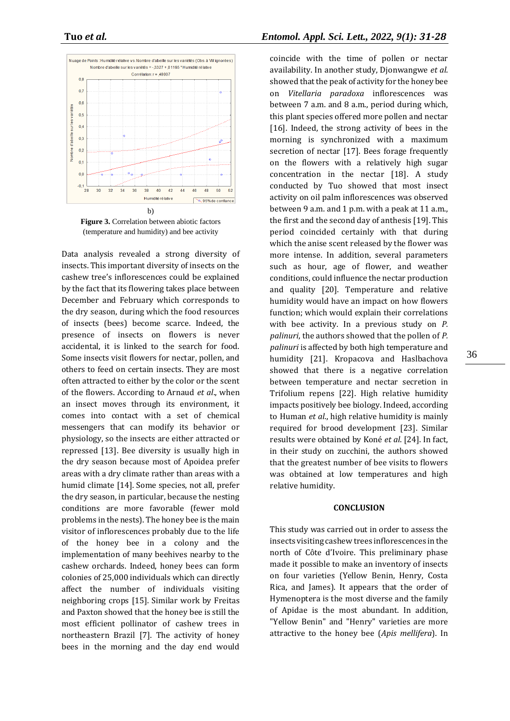

**Figure 3.** Correlation between abiotic factors (temperature and humidity) and bee activity

Data analysis revealed a strong diversity of insects. This important diversity of insects on the cashew tree's inflorescences could be explained by the fact that its flowering takes place between December and February which corresponds to the dry season, during which the food resources of insects (bees) become scarce. Indeed, the presence of insects on flowers is never accidental, it is linked to the search for food. Some insects visit flowers for nectar, pollen, and others to feed on certain insects. They are most often attracted to either by the color or the scent of the flowers. According to Arnaud *et al*., when an insect moves through its environment, it comes into contact with a set of chemical messengers that can modify its behavior or physiology, so the insects are either attracted or repressed [13]. Bee diversity is usually high in the dry season because most of Apoidea prefer areas with a dry climate rather than areas with a humid climate [14]. Some species, not all, prefer the dry season, in particular, because the nesting conditions are more favorable (fewer mold problems in the nests). The honey bee is the main visitor of inflorescences probably due to the life of the honey bee in a colony and the implementation of many beehives nearby to the cashew orchards. Indeed, honey bees can form colonies of 25,000 individuals which can directly affect the number of individuals visiting neighboring crops [15]. Similar work by Freitas and Paxton showed that the honey bee is still the most efficient pollinator of cashew trees in northeastern Brazil [7]. The activity of honey bees in the morning and the day end would

coincide with the time of pollen or nectar availability. In another study, Djonwangwe *et al*. showed that the peak of activity for the honey bee on *Vitellaria paradoxa* inflorescences was between 7 a.m. and 8 a.m., period during which, this plant species offered more pollen and nectar [16]. Indeed, the strong activity of bees in the morning is synchronized with a maximum secretion of nectar [17]. Bees forage frequently on the flowers with a relatively high sugar concentration in the nectar [18]. A study conducted by Tuo showed that most insect activity on oil palm inflorescences was observed between 9 a.m. and 1 p.m. with a peak at 11 a.m., the first and the second day of anthesis [19]. This period coincided certainly with that during which the anise scent released by the flower was more intense. In addition, several parameters such as hour, age of flower, and weather conditions, could influence the nectar production and quality [20]. Temperature and relative humidity would have an impact on how flowers function; which would explain their correlations with bee activity. In a previous study on *P. palinuri*, the authors showed that the pollen of *P. palinuri* is affected by both high temperature and humidity [21]. Kropacova and Haslbachova showed that there is a negative correlation between temperature and nectar secretion in Trifolium repens [22]. High relative humidity impacts positively bee biology. Indeed, according to Human *et al*., high relative humidity is mainly required for brood development [23]. Similar results were obtained by Koné *et al*. [24]. In fact, in their study on zucchini, the authors showed that the greatest number of bee visits to flowers was obtained at low temperatures and high relative humidity.

#### **CONCLUSION**

This study was carried out in order to assess the insects visiting cashew trees inflorescences in the north of Côte d'Ivoire. This preliminary phase made it possible to make an inventory of insects on four varieties (Yellow Benin, Henry, Costa Rica, and James). It appears that the order of Hymenoptera is the most diverse and the family of Apidae is the most abundant. In addition, "Yellow Benin" and "Henry" varieties are more attractive to the honey bee (*Apis mellifera*). In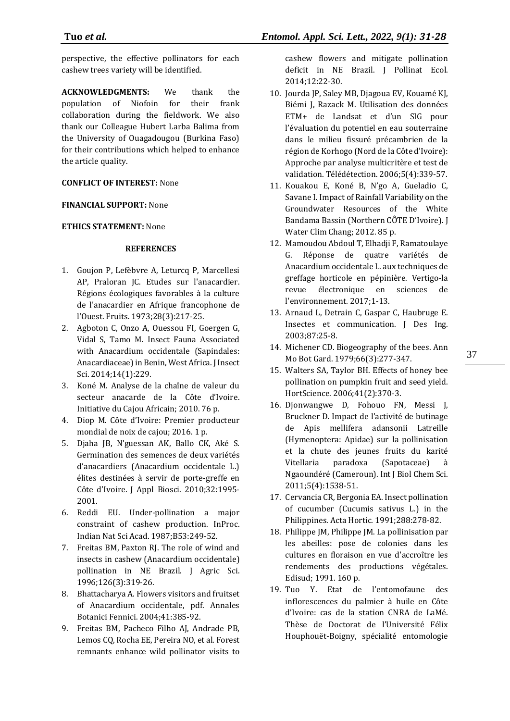perspective, the effective pollinators for each cashew trees variety will be identified.

**ACKNOWLEDGMENTS:** We thank the population of Niofoin for their frank collaboration during the fieldwork. We also thank our Colleague Hubert Larba Balima from the University of Ouagadougou (Burkina Faso) for their contributions which helped to enhance the article quality.

## **CONFLICT OF INTEREST:** None

## **FINANCIAL SUPPORT:** None

## **ETHICS STATEMENT:** None

## **REFERENCES**

- 1. Goujon P, Lefèbvre A, Leturcq P, Marcellesi AP, Praloran JC. Etudes sur l'anacardier. Régions écologiques favorables à la culture de l'anacardier en Afrique francophone de l'Ouest. Fruits. 1973;28(3):217-25.
- 2. Agboton C, Onzo A, Ouessou FI, Goergen G, Vidal S, Tamo M. Insect Fauna Associated with Anacardium occidentale (Sapindales: Anacardiaceae) in Benin, West Africa. J Insect Sci. 2014;14(1):229.
- 3. Koné M. Analyse de la chaîne de valeur du secteur anacarde de la Côte d'Ivoire. Initiative du Cajou Africain; 2010. 76 p.
- 4. Diop M. Côte d'Ivoire: Premier producteur mondial de noix de cajou; 2016. 1 p.
- 5. Djaha JB, N'guessan AK, Ballo CK, Aké S. Germination des semences de deux variétés d'anacardiers (Anacardium occidentale L.) élites destinées à servir de porte-greffe en Côte d'Ivoire. J Appl Biosci. 2010;32:1995- 2001.
- 6. Reddi EU. Under-pollination a major constraint of cashew production. InProc. Indian Nat Sci Acad. 1987;B53:249-52.
- 7. Freitas BM, Paxton RJ. The role of wind and insects in cashew (Anacardium occidentale) pollination in NE Brazil. J Agric Sci. 1996;126(3):319-26.
- 8. Bhattacharya A. Flowers visitors and fruitset of Anacardium occidentale, pdf. Annales Botanici Fennici. 2004;41:385-92.
- 9. Freitas BM, Pacheco Filho AJ, Andrade PB, Lemos CQ, Rocha EE, Pereira NO, et al. Forest remnants enhance wild pollinator visits to

cashew flowers and mitigate pollination deficit in NE Brazil. J Pollinat Ecol. 2014;12:22-30.

- 10. Jourda JP, Saley MB, Djagoua EV, Kouamé KJ, Biémi J, Razack M. Utilisation des données ETM+ de Landsat et d'un SIG pour l'évaluation du potentiel en eau souterraine dans le milieu fissuré précambrien de la région de Korhogo (Nord de la Côte d'Ivoire): Approche par analyse multicritère et test de validation. Télédétection. 2006;5(4):339-57.
- 11. Kouakou E, Koné B, N'go A, Gueladio C, Savane I. Impact of Rainfall Variability on the Groundwater Resources of the White Bandama Bassin (Northern CÔTE D'Ivoire). J Water Clim Chang; 2012. 85 p.
- 12. Mamoudou Abdoul T, Elhadji F, Ramatoulaye G. Réponse de quatre variétés de Anacardium occidentale L. aux techniques de greffage horticole en pépinière. Vertigo-la revue électronique en sciences de l'environnement. 2017;1-13.
- 13. Arnaud L, Detrain C, Gaspar C, Haubruge E. Insectes et communication. J Des Ing. 2003;87:25-8.
- 14. Michener CD. Biogeography of the bees. Ann Mo Bot Gard. 1979;66(3):277-347.
- 15. Walters SA, Taylor BH. Effects of honey bee pollination on pumpkin fruit and seed yield. HortScience. 2006;41(2):370-3.
- 16. Djonwangwe D, Fohouo FN, Messi J, Bruckner D. Impact de l'activité de butinage de Apis mellifera adansonii Latreille (Hymenoptera: Apidae) sur la pollinisation et la chute des jeunes fruits du karité Vitellaria paradoxa (Sapotaceae) à Ngaoundéré (Cameroun). Int J Biol Chem Sci. 2011;5(4):1538-51.
- 17. Cervancia CR, Bergonia EA. Insect pollination of cucumber (Cucumis sativus L.) in the Philippines. Acta Hortic. 1991;288:278-82.
- 18. Philippe JM, Philippe JM. La pollinisation par les abeilles: pose de colonies dans les cultures en floraison en vue d'accroître les rendements des productions végétales. Edisud; 1991. 160 p.
- 19. Tuo Y. Etat de l'entomofaune des inflorescences du palmier à huile en Côte d'Ivoire: cas de la station CNRA de LaMé. Thèse de Doctorat de l'Université Félix Houphouët-Boigny, spécialité entomologie